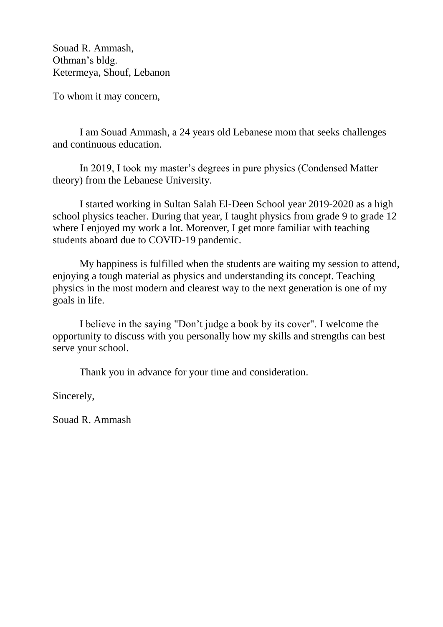Souad R. Ammash, Othman's bldg. Ketermeya, Shouf, Lebanon

To whom it may concern,

I am Souad Ammash, a 24 years old Lebanese mom that seeks challenges and continuous education.

In 2019, I took my master's degrees in pure physics (Condensed Matter theory) from the Lebanese University.

I started working in Sultan Salah El-Deen School year 2019-2020 as a high school physics teacher. During that year, I taught physics from grade 9 to grade 12 where I enjoyed my work a lot. Moreover, I get more familiar with teaching students aboard due to COVID-19 pandemic.

My happiness is fulfilled when the students are waiting my session to attend, enjoying a tough material as physics and understanding its concept. Teaching physics in the most modern and clearest way to the next generation is one of my goals in life.

I believe in the saying "Don't judge a book by its cover". I welcome the opportunity to discuss with you personally how my skills and strengths can best serve your school.

Thank you in advance for your time and consideration.

Sincerely,

Souad R. Ammash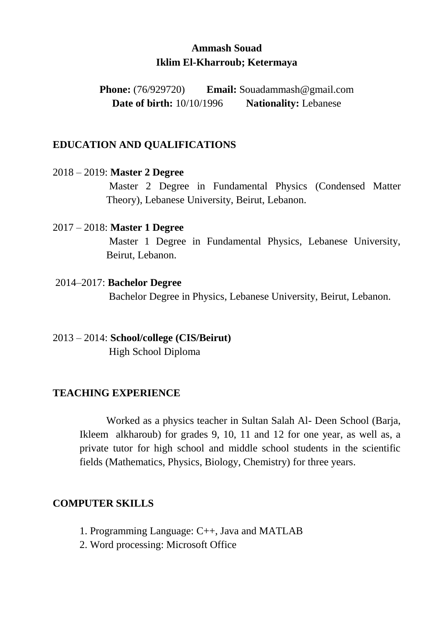# **Ammash Souad Iklim El-Kharroub; Ketermaya**

**Phone:** (76/929720) **Email:** Souadammash@gmail.com **Date of birth:** 10/10/1996 **Nationality:** Lebanese

#### **EDUCATION AND QUALIFICATIONS**

#### 2018 – 2019: **Master 2 Degree**

Master 2 Degree in Fundamental Physics (Condensed Matter Theory), Lebanese University, Beirut, Lebanon.

#### 2017 – 2018: **Master 1 Degree**

Master 1 Degree in Fundamental Physics, Lebanese University, Beirut, Lebanon.

#### 2014–2017: **Bachelor Degree**

Bachelor Degree in Physics, Lebanese University, Beirut, Lebanon.

## 2013 – 2014: **School/college (CIS/Beirut)**

High School Diploma

## **TEACHING EXPERIENCE**

Worked as a physics teacher in Sultan Salah Al- Deen School (Barja, Ikleem alkharoub) for grades 9, 10, 11 and 12 for one year, as well as, a private tutor for high school and middle school students in the scientific fields (Mathematics, Physics, Biology, Chemistry) for three years.

## **COMPUTER SKILLS**

- 1. Programming Language: C++, Java and MATLAB
- 2. Word processing: Microsoft Office